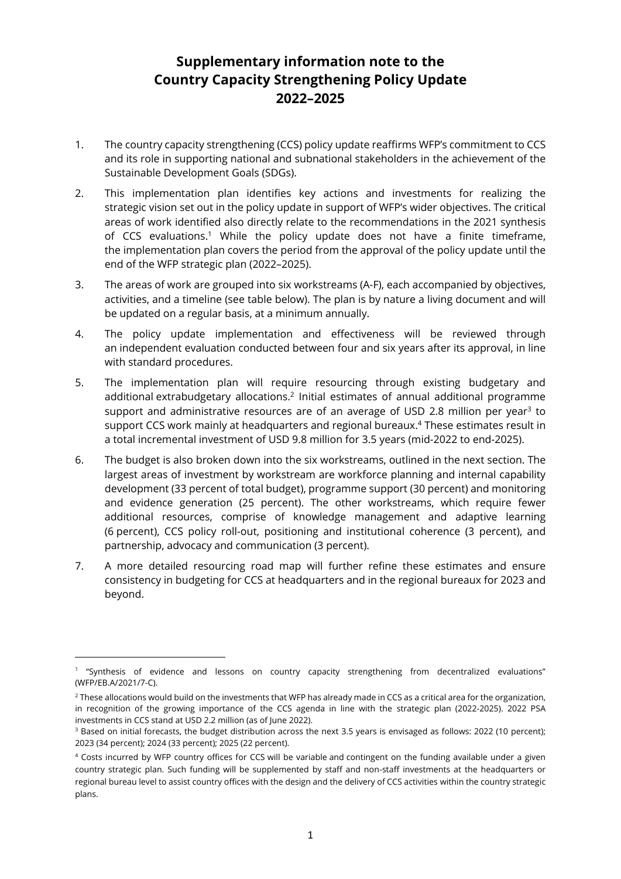# **Supplementary information note to the Country Capacity Strengthening Policy Update 2022–2025**

- 1. The country capacity strengthening (CCS) policy update reaffirms WFP's commitment to CCS and its role in supporting national and subnational stakeholders in the achievement of the Sustainable Development Goals (SDGs).
- 2. This implementation plan identifies key actions and investments for realizing the strategic vision set out in the policy update in support of WFP's wider objectives. The critical areas of work identified also directly relate to the recommendations in the 2021 synthesis of CCS evaluations. <sup>1</sup> While the policy update does not have a finite timeframe, the implementation plan covers the period from the approval of the policy update until the end of the WFP strategic plan (2022–2025).
- 3. The areas of work are grouped into six workstreams (A-F), each accompanied by objectives, activities, and a timeline (see table below). The plan is by nature a living document and will be updated on a regular basis, at a minimum annually.
- 4. The policy update implementation and effectiveness will be reviewed through an independent evaluation conducted between four and six years after its approval, in line with standard procedures.
- 5. The implementation plan will require resourcing through existing budgetary and additional extrabudgetary allocations.<sup>2</sup> Initial estimates of annual additional programme support and administrative resources are of an average of USD 2.8 million per year $3$  to support CCS work mainly at headquarters and regional bureaux. <sup>4</sup> These estimates result in a total incremental investment of USD 9.8 million for 3.5 years (mid-2022 to end-2025).
- 6. The budget is also broken down into the six workstreams, outlined in the next section. The largest areas of investment by workstream are workforce planning and internal capability development (33 percent of total budget), programme support (30 percent) and monitoring and evidence generation (25 percent). The other workstreams, which require fewer additional resources, comprise of knowledge management and adaptive learning (6 percent), CCS policy roll-out, positioning and institutional coherence (3 percent), and partnership, advocacy and communication (3 percent).
- 7. A more detailed resourcing road map will further refine these estimates and ensure consistency in budgeting for CCS at headquarters and in the regional bureaux for 2023 and beyond.

<sup>1</sup> "Synthesis of evidence and lessons on country capacity strengthening from decentralized evaluations" (WFP/EB.A/2021/7-C).

 $2$  These allocations would build on the investments that WFP has already made in CCS as a critical area for the organization, in recognition of the growing importance of the CCS agenda in line with the strategic plan (2022-2025). 2022 PSA investments in CCS stand at USD 2.2 million (as of June 2022).

<sup>&</sup>lt;sup>3</sup> Based on initial forecasts, the budget distribution across the next 3.5 years is envisaged as follows: 2022 (10 percent); 2023 (34 percent); 2024 (33 percent); 2025 (22 percent).

<sup>4</sup> Costs incurred by WFP country offices for CCS will be variable and contingent on the funding available under a given country strategic plan. Such funding will be supplemented by staff and non-staff investments at the headquarters or regional bureau level to assist country offices with the design and the delivery of CCS activities within the country strategic plans.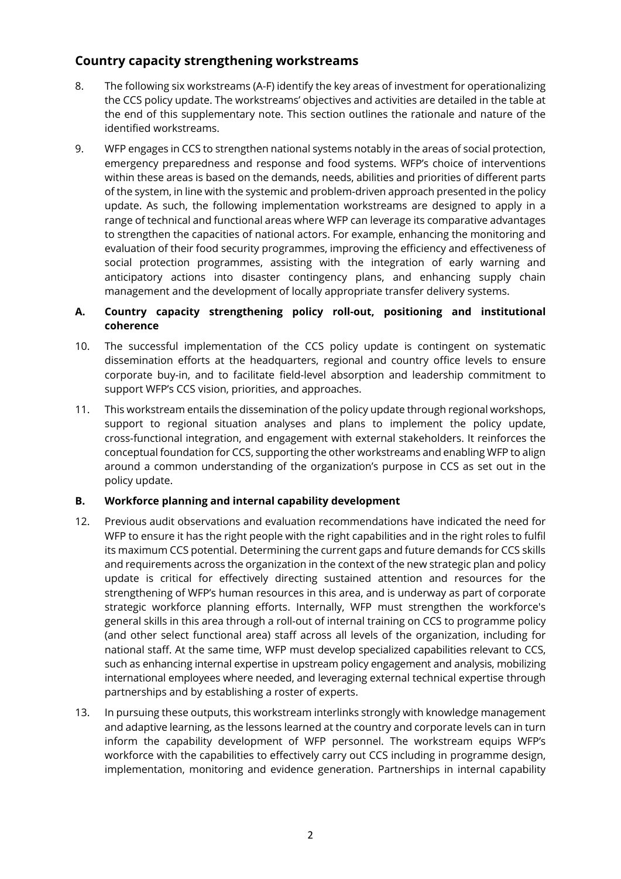# **Country capacity strengthening workstreams**

- 8. The following six workstreams (A-F) identify the key areas of investment for operationalizing the CCS policy update. The workstreams' objectives and activities are detailed in the table at the end of this supplementary note. This section outlines the rationale and nature of the identified workstreams.
- 9. WFP engages in CCS to strengthen national systems notably in the areas of social protection, emergency preparedness and response and food systems. WFP's choice of interventions within these areas is based on the demands, needs, abilities and priorities of different parts of the system, in line with the systemic and problem-driven approach presented in the policy update. As such, the following implementation workstreams are designed to apply in a range of technical and functional areas where WFP can leverage its comparative advantages to strengthen the capacities of national actors. For example, enhancing the monitoring and evaluation of their food security programmes, improving the efficiency and effectiveness of social protection programmes, assisting with the integration of early warning and anticipatory actions into disaster contingency plans, and enhancing supply chain management and the development of locally appropriate transfer delivery systems.

#### **A. Country capacity strengthening policy roll-out, positioning and institutional coherence**

- 10. The successful implementation of the CCS policy update is contingent on systematic dissemination efforts at the headquarters, regional and country office levels to ensure corporate buy-in, and to facilitate field-level absorption and leadership commitment to support WFP's CCS vision, priorities, and approaches.
- 11. This workstream entails the dissemination of the policy update through regional workshops, support to regional situation analyses and plans to implement the policy update, cross-functional integration, and engagement with external stakeholders. It reinforces the conceptual foundation for CCS, supporting the other workstreams and enabling WFP to align around a common understanding of the organization's purpose in CCS as set out in the policy update.

# **B. Workforce planning and internal capability development**

- 12. Previous audit observations and evaluation recommendations have indicated the need for WFP to ensure it has the right people with the right capabilities and in the right roles to fulfil its maximum CCS potential. Determining the current gaps and future demands for CCS skills and requirements across the organization in the context of the new strategic plan and policy update is critical for effectively directing sustained attention and resources for the strengthening of WFP's human resources in this area, and is underway as part of corporate strategic workforce planning efforts. Internally, WFP must strengthen the workforce's general skills in this area through a roll-out of internal training on CCS to programme policy (and other select functional area) staff across all levels of the organization, including for national staff. At the same time, WFP must develop specialized capabilities relevant to CCS, such as enhancing internal expertise in upstream policy engagement and analysis, mobilizing international employees where needed, and leveraging external technical expertise through partnerships and by establishing a roster of experts.
- 13. In pursuing these outputs, this workstream interlinks strongly with knowledge management and adaptive learning, as the lessons learned at the country and corporate levels can in turn inform the capability development of WFP personnel. The workstream equips WFP's workforce with the capabilities to effectively carry out CCS including in programme design, implementation, monitoring and evidence generation. Partnerships in internal capability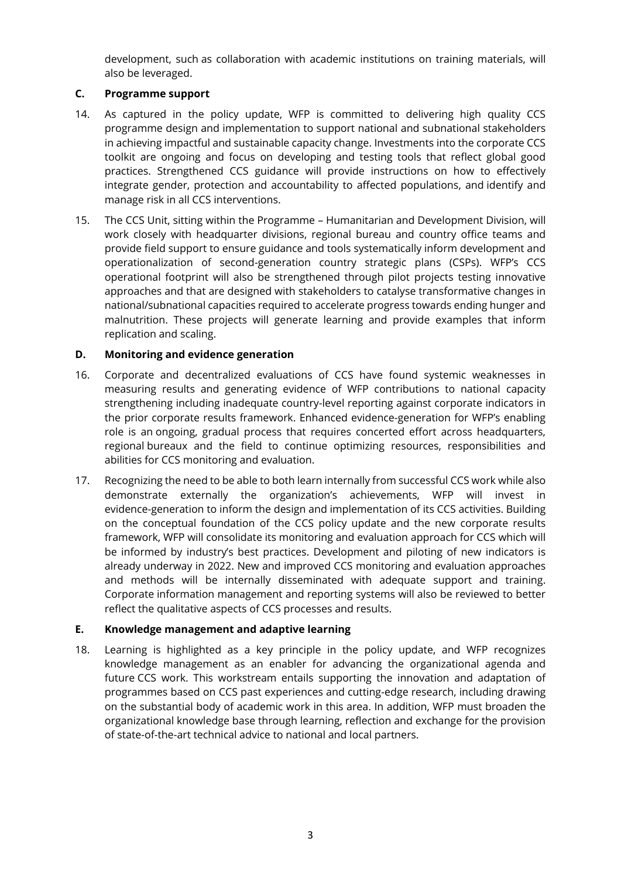development, such as collaboration with academic institutions on training materials, will also be leveraged.

## **C. Programme support**

- 14. As captured in the policy update, WFP is committed to delivering high quality CCS programme design and implementation to support national and subnational stakeholders in achieving impactful and sustainable capacity change. Investments into the corporate CCS toolkit are ongoing and focus on developing and testing tools that reflect global good practices. Strengthened CCS guidance will provide instructions on how to effectively integrate gender, protection and accountability to affected populations, and identify and manage risk in all CCS interventions.
- 15. The CCS Unit, sitting within the Programme Humanitarian and Development Division, will work closely with headquarter divisions, regional bureau and country office teams and provide field support to ensure guidance and tools systematically inform development and operationalization of second-generation country strategic plans (CSPs). WFP's CCS operational footprint will also be strengthened through pilot projects testing innovative approaches and that are designed with stakeholders to catalyse transformative changes in national/subnational capacities required to accelerate progress towards ending hunger and malnutrition. These projects will generate learning and provide examples that inform replication and scaling.

## **D. Monitoring and evidence generation**

- 16. Corporate and decentralized evaluations of CCS have found systemic weaknesses in measuring results and generating evidence of WFP contributions to national capacity strengthening including inadequate country-level reporting against corporate indicators in the prior corporate results framework. Enhanced evidence-generation for WFP's enabling role is an ongoing, gradual process that requires concerted effort across headquarters, regional bureaux and the field to continue optimizing resources, responsibilities and abilities for CCS monitoring and evaluation.
- 17. Recognizing the need to be able to both learn internally from successful CCS work while also demonstrate externally the organization's achievements, WFP will invest in evidence-generation to inform the design and implementation of its CCS activities. Building on the conceptual foundation of the CCS policy update and the new corporate results framework, WFP will consolidate its monitoring and evaluation approach for CCS which will be informed by industry's best practices. Development and piloting of new indicators is already underway in 2022. New and improved CCS monitoring and evaluation approaches and methods will be internally disseminated with adequate support and training. Corporate information management and reporting systems will also be reviewed to better reflect the qualitative aspects of CCS processes and results.

#### **E. Knowledge management and adaptive learning**

18. Learning is highlighted as a key principle in the policy update, and WFP recognizes knowledge management as an enabler for advancing the organizational agenda and future CCS work. This workstream entails supporting the innovation and adaptation of programmes based on CCS past experiences and cutting-edge research, including drawing on the substantial body of academic work in this area. In addition, WFP must broaden the organizational knowledge base through learning, reflection and exchange for the provision of state-of-the-art technical advice to national and local partners.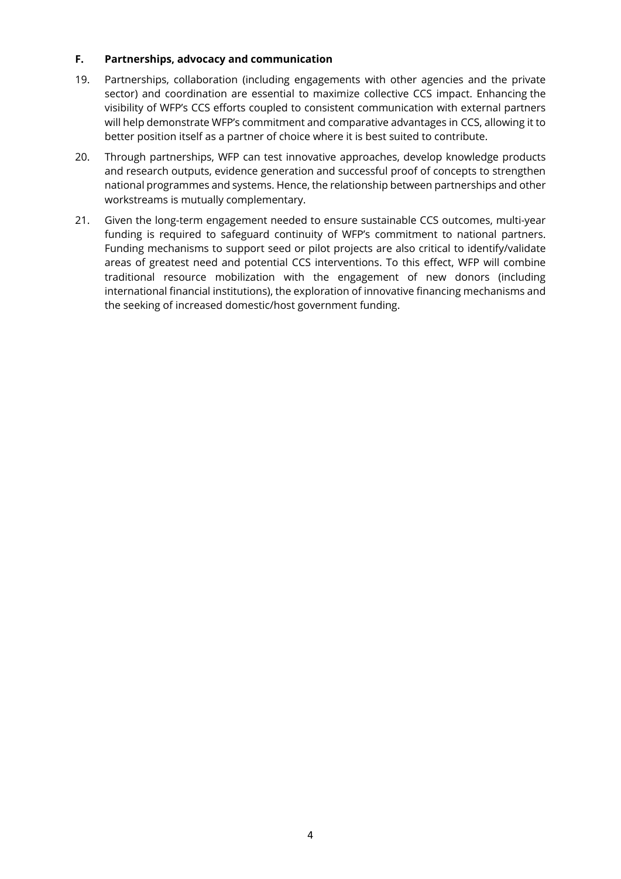#### **F. Partnerships, advocacy and communication**

- 19. Partnerships, collaboration (including engagements with other agencies and the private sector) and coordination are essential to maximize collective CCS impact. Enhancing the visibility of WFP's CCS efforts coupled to consistent communication with external partners will help demonstrate WFP's commitment and comparative advantages in CCS, allowing it to better position itself as a partner of choice where it is best suited to contribute.
- 20. Through partnerships, WFP can test innovative approaches, develop knowledge products and research outputs, evidence generation and successful proof of concepts to strengthen national programmes and systems. Hence, the relationship between partnerships and other workstreams is mutually complementary.
- 21. Given the long-term engagement needed to ensure sustainable CCS outcomes, multi-year funding is required to safeguard continuity of WFP's commitment to national partners. Funding mechanisms to support seed or pilot projects are also critical to identify/validate areas of greatest need and potential CCS interventions. To this effect, WFP will combine traditional resource mobilization with the engagement of new donors (including international financial institutions), the exploration of innovative financing mechanisms and the seeking of increased domestic/host government funding.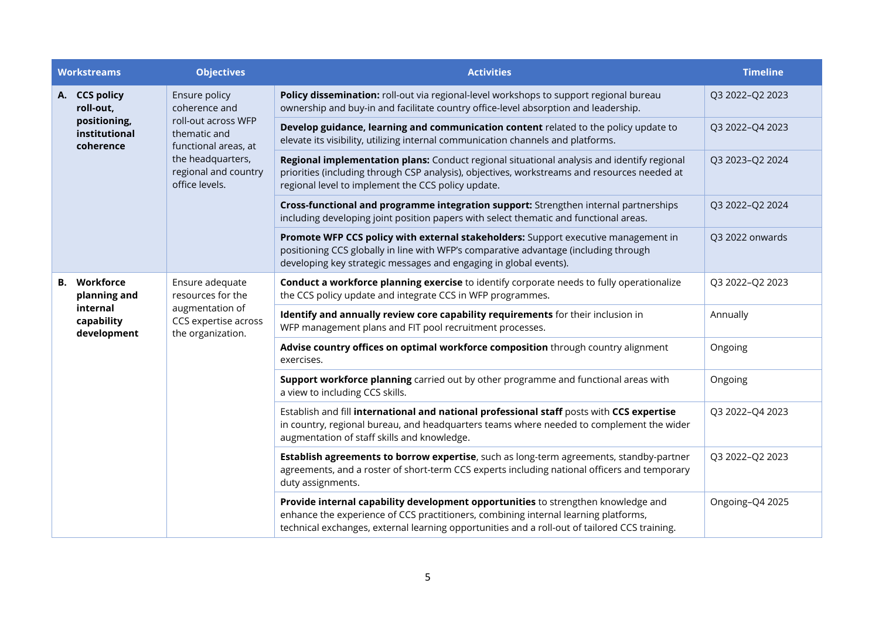| <b>Workstreams</b>                         | <b>Objectives</b>                                                                                                                                            | <b>Activities</b>                                                                                                                                                                                                                                                         | <b>Timeline</b> |
|--------------------------------------------|--------------------------------------------------------------------------------------------------------------------------------------------------------------|---------------------------------------------------------------------------------------------------------------------------------------------------------------------------------------------------------------------------------------------------------------------------|-----------------|
| A. CCS policy<br>roll-out,                 | Ensure policy<br>coherence and<br>roll-out across WFP<br>thematic and<br>functional areas, at<br>the headquarters,<br>regional and country<br>office levels. | Policy dissemination: roll-out via regional-level workshops to support regional bureau<br>ownership and buy-in and facilitate country office-level absorption and leadership.                                                                                             | Q3 2022-Q2 2023 |
| positioning,<br>institutional<br>coherence |                                                                                                                                                              | Develop guidance, learning and communication content related to the policy update to<br>elevate its visibility, utilizing internal communication channels and platforms.                                                                                                  | Q3 2022-Q4 2023 |
|                                            |                                                                                                                                                              | Regional implementation plans: Conduct regional situational analysis and identify regional<br>priorities (including through CSP analysis), objectives, workstreams and resources needed at<br>regional level to implement the CCS policy update.                          | Q3 2023-Q2 2024 |
|                                            |                                                                                                                                                              | Cross-functional and programme integration support: Strengthen internal partnerships<br>including developing joint position papers with select thematic and functional areas.                                                                                             | Q3 2022-Q2 2024 |
|                                            |                                                                                                                                                              | Promote WFP CCS policy with external stakeholders: Support executive management in<br>positioning CCS globally in line with WFP's comparative advantage (including through<br>developing key strategic messages and engaging in global events).                           | Q3 2022 onwards |
| Workforce<br><b>B.</b><br>planning and     | Ensure adequate<br>resources for the<br>augmentation of<br>CCS expertise across<br>the organization.                                                         | Conduct a workforce planning exercise to identify corporate needs to fully operationalize<br>the CCS policy update and integrate CCS in WFP programmes.                                                                                                                   | Q3 2022-Q2 2023 |
| internal<br>capability<br>development      |                                                                                                                                                              | Identify and annually review core capability requirements for their inclusion in<br>WFP management plans and FIT pool recruitment processes.                                                                                                                              | Annually        |
|                                            |                                                                                                                                                              | Advise country offices on optimal workforce composition through country alignment<br>exercises.                                                                                                                                                                           | Ongoing         |
|                                            |                                                                                                                                                              | Support workforce planning carried out by other programme and functional areas with<br>a view to including CCS skills.                                                                                                                                                    | Ongoing         |
|                                            |                                                                                                                                                              | Establish and fill international and national professional staff posts with CCS expertise<br>in country, regional bureau, and headquarters teams where needed to complement the wider<br>augmentation of staff skills and knowledge.                                      | Q3 2022-Q4 2023 |
|                                            |                                                                                                                                                              | Establish agreements to borrow expertise, such as long-term agreements, standby-partner<br>agreements, and a roster of short-term CCS experts including national officers and temporary<br>duty assignments.                                                              | Q3 2022-Q2 2023 |
|                                            |                                                                                                                                                              | Provide internal capability development opportunities to strengthen knowledge and<br>enhance the experience of CCS practitioners, combining internal learning platforms,<br>technical exchanges, external learning opportunities and a roll-out of tailored CCS training. | Ongoing-Q4 2025 |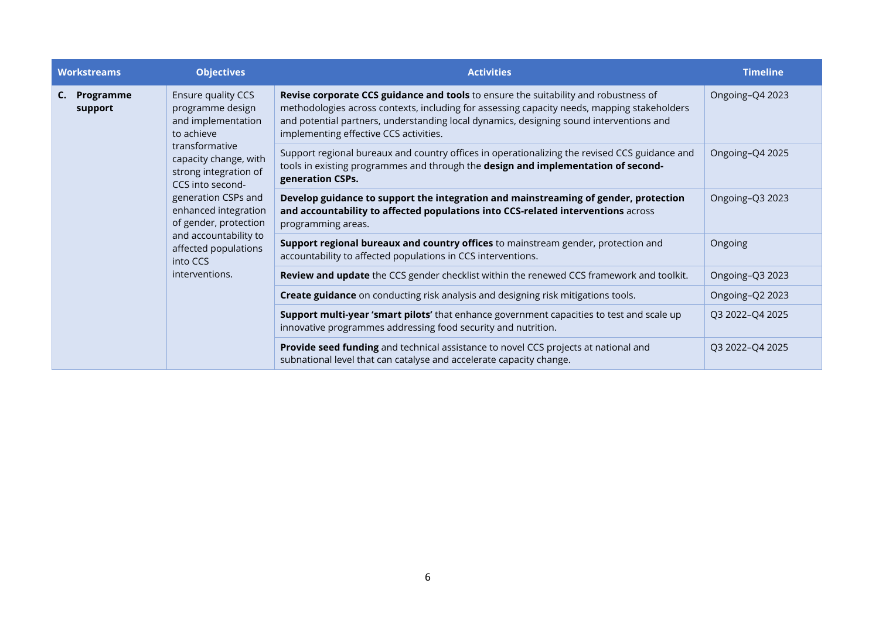| <b>Workstreams</b>         | <b>Objectives</b>                                                                                                                                                                                                                                                                                                         | <b>Activities</b>                                                                                                                                                                                                                                                                                                       | <b>Timeline</b> |
|----------------------------|---------------------------------------------------------------------------------------------------------------------------------------------------------------------------------------------------------------------------------------------------------------------------------------------------------------------------|-------------------------------------------------------------------------------------------------------------------------------------------------------------------------------------------------------------------------------------------------------------------------------------------------------------------------|-----------------|
| Programme<br>C.<br>support | Ensure quality CCS<br>programme design<br>and implementation<br>to achieve<br>transformative<br>capacity change, with<br>strong integration of<br>CCS into second-<br>generation CSPs and<br>enhanced integration<br>of gender, protection<br>and accountability to<br>affected populations<br>into CCS<br>interventions. | Revise corporate CCS guidance and tools to ensure the suitability and robustness of<br>methodologies across contexts, including for assessing capacity needs, mapping stakeholders<br>and potential partners, understanding local dynamics, designing sound interventions and<br>implementing effective CCS activities. | Ongoing-Q4 2023 |
|                            |                                                                                                                                                                                                                                                                                                                           | Support regional bureaux and country offices in operationalizing the revised CCS guidance and<br>tools in existing programmes and through the design and implementation of second-<br>generation CSPs.                                                                                                                  | Ongoing-Q4 2025 |
|                            |                                                                                                                                                                                                                                                                                                                           | Develop guidance to support the integration and mainstreaming of gender, protection<br>and accountability to affected populations into CCS-related interventions across<br>programming areas.                                                                                                                           | Ongoing-Q3 2023 |
|                            |                                                                                                                                                                                                                                                                                                                           | Support regional bureaux and country offices to mainstream gender, protection and<br>accountability to affected populations in CCS interventions.                                                                                                                                                                       | Ongoing         |
|                            |                                                                                                                                                                                                                                                                                                                           | Review and update the CCS gender checklist within the renewed CCS framework and toolkit.                                                                                                                                                                                                                                | Ongoing-Q3 2023 |
|                            |                                                                                                                                                                                                                                                                                                                           | Create guidance on conducting risk analysis and designing risk mitigations tools.                                                                                                                                                                                                                                       | Ongoing-Q2 2023 |
|                            |                                                                                                                                                                                                                                                                                                                           | Support multi-year 'smart pilots' that enhance government capacities to test and scale up<br>innovative programmes addressing food security and nutrition.                                                                                                                                                              | Q3 2022-Q4 2025 |
|                            |                                                                                                                                                                                                                                                                                                                           | Provide seed funding and technical assistance to novel CCS projects at national and<br>subnational level that can catalyse and accelerate capacity change.                                                                                                                                                              | Q3 2022-Q4 2025 |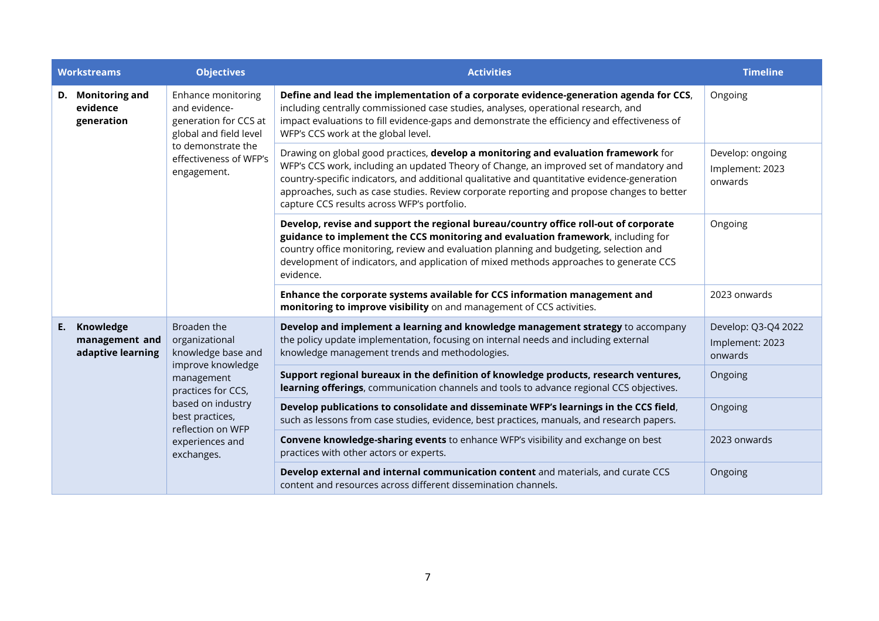|    | <b>Workstreams</b>                               | <b>Objectives</b>                                                                                                                                                                                          | <b>Activities</b>                                                                                                                                                                                                                                                                                                                                                                                                           | <b>Timeline</b>                                   |
|----|--------------------------------------------------|------------------------------------------------------------------------------------------------------------------------------------------------------------------------------------------------------------|-----------------------------------------------------------------------------------------------------------------------------------------------------------------------------------------------------------------------------------------------------------------------------------------------------------------------------------------------------------------------------------------------------------------------------|---------------------------------------------------|
|    | D. Monitoring and<br>evidence<br>generation      | Enhance monitoring<br>and evidence-<br>generation for CCS at<br>global and field level<br>to demonstrate the<br>effectiveness of WFP's<br>engagement.                                                      | Define and lead the implementation of a corporate evidence-generation agenda for CCS,<br>including centrally commissioned case studies, analyses, operational research, and<br>impact evaluations to fill evidence-gaps and demonstrate the efficiency and effectiveness of<br>WFP's CCS work at the global level.                                                                                                          | Ongoing                                           |
|    |                                                  |                                                                                                                                                                                                            | Drawing on global good practices, develop a monitoring and evaluation framework for<br>WFP's CCS work, including an updated Theory of Change, an improved set of mandatory and<br>country-specific indicators, and additional qualitative and quantitative evidence-generation<br>approaches, such as case studies. Review corporate reporting and propose changes to better<br>capture CCS results across WFP's portfolio. | Develop: ongoing<br>Implement: 2023<br>onwards    |
|    |                                                  |                                                                                                                                                                                                            | Develop, revise and support the regional bureau/country office roll-out of corporate<br>guidance to implement the CCS monitoring and evaluation framework, including for<br>country office monitoring, review and evaluation planning and budgeting, selection and<br>development of indicators, and application of mixed methods approaches to generate CCS<br>evidence.                                                   | Ongoing                                           |
|    |                                                  |                                                                                                                                                                                                            | Enhance the corporate systems available for CCS information management and<br>monitoring to improve visibility on and management of CCS activities.                                                                                                                                                                                                                                                                         | 2023 onwards                                      |
| E. | Knowledge<br>management and<br>adaptive learning | Broaden the<br>organizational<br>knowledge base and<br>improve knowledge<br>management<br>practices for CCS,<br>based on industry<br>best practices,<br>reflection on WFP<br>experiences and<br>exchanges. | Develop and implement a learning and knowledge management strategy to accompany<br>the policy update implementation, focusing on internal needs and including external<br>knowledge management trends and methodologies.                                                                                                                                                                                                    | Develop: Q3-Q4 2022<br>Implement: 2023<br>onwards |
|    |                                                  |                                                                                                                                                                                                            | Support regional bureaux in the definition of knowledge products, research ventures,<br>learning offerings, communication channels and tools to advance regional CCS objectives.                                                                                                                                                                                                                                            | Ongoing                                           |
|    |                                                  |                                                                                                                                                                                                            | Develop publications to consolidate and disseminate WFP's learnings in the CCS field,<br>such as lessons from case studies, evidence, best practices, manuals, and research papers.                                                                                                                                                                                                                                         | Ongoing                                           |
|    |                                                  |                                                                                                                                                                                                            | Convene knowledge-sharing events to enhance WFP's visibility and exchange on best<br>practices with other actors or experts.                                                                                                                                                                                                                                                                                                | 2023 onwards                                      |
|    |                                                  |                                                                                                                                                                                                            | Develop external and internal communication content and materials, and curate CCS<br>content and resources across different dissemination channels.                                                                                                                                                                                                                                                                         | Ongoing                                           |